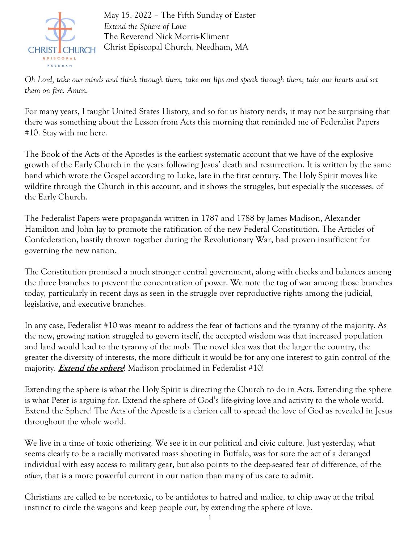

May 15, 2022 – The Fifth Sunday of Easter *Extend the Sphere of Love* The Reverend Nick Morris-Kliment Christ Episcopal Church, Needham, MA

*Oh Lord, take our minds and think through them, take our lips and speak through them; take our hearts and set them on fire. Amen.*

For many years, I taught United States History, and so for us history nerds, it may not be surprising that there was something about the Lesson from Acts this morning that reminded me of Federalist Papers #10. Stay with me here.

The Book of the Acts of the Apostles is the earliest systematic account that we have of the explosive growth of the Early Church in the years following Jesus' death and resurrection. It is written by the same hand which wrote the Gospel according to Luke, late in the first century. The Holy Spirit moves like wildfire through the Church in this account, and it shows the struggles, but especially the successes, of the Early Church.

The Federalist Papers were propaganda written in 1787 and 1788 by James Madison, Alexander Hamilton and John Jay to promote the ratification of the new Federal Constitution. The Articles of Confederation, hastily thrown together during the Revolutionary War, had proven insufficient for governing the new nation.

The Constitution promised a much stronger central government, along with checks and balances among the three branches to prevent the concentration of power. We note the tug of war among those branches today, particularly in recent days as seen in the struggle over reproductive rights among the judicial, legislative, and executive branches.

In any case, Federalist #10 was meant to address the fear of factions and the tyranny of the majority. As the new, growing nation struggled to govern itself, the accepted wisdom was that increased population and land would lead to the tyranny of the mob. The novel idea was that the larger the country, the greater the diversity of interests, the more difficult it would be for any one interest to gain control of the majority. **Extend the sphere**! Madison proclaimed in Federalist #10!

Extending the sphere is what the Holy Spirit is directing the Church to do in Acts. Extending the sphere is what Peter is arguing for. Extend the sphere of God's life-giving love and activity to the whole world. Extend the Sphere! The Acts of the Apostle is a clarion call to spread the love of God as revealed in Jesus throughout the whole world.

We live in a time of toxic otherizing. We see it in our political and civic culture. Just yesterday, what seems clearly to be a racially motivated mass shooting in Buffalo, was for sure the act of a deranged individual with easy access to military gear, but also points to the deep-seated fear of difference, of the *other*, that is a more powerful current in our nation than many of us care to admit.

Christians are called to be non-toxic, to be antidotes to hatred and malice, to chip away at the tribal instinct to circle the wagons and keep people out, by extending the sphere of love.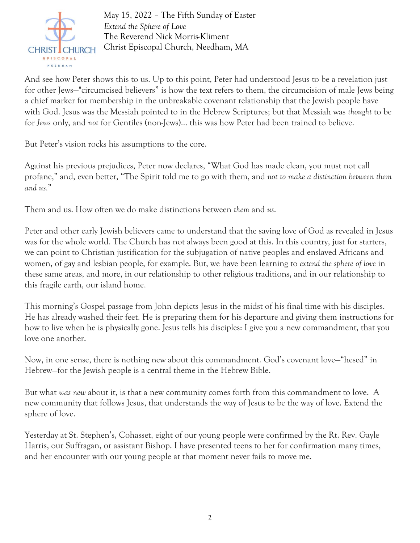

May 15, 2022 – The Fifth Sunday of Easter *Extend the Sphere of Love* The Reverend Nick Morris-Kliment Christ Episcopal Church, Needham, MA

And see how Peter shows this to us. Up to this point, Peter had understood Jesus to be a revelation just for other Jews—"circumcised believers" is how the text refers to them, the circumcision of male Jews being a chief marker for membership in the unbreakable covenant relationship that the Jewish people have with God. Jesus was the Messiah pointed to in the Hebrew Scriptures; but that Messiah was *thought* to be for *Jews* only, and *not* for Gentiles (non-Jews)… this was how Peter had been trained to believe.

But Peter's vision rocks his assumptions to the core.

Against his previous prejudices, Peter now declares, "What God has made clean, you must not call profane," and, even better, "The Spirit told me to go with them, and *not to make a distinction between them and us*."

Them and us. How often we do make distinctions between *them* and *us*.

Peter and other early Jewish believers came to understand that the saving love of God as revealed in Jesus was for the whole world. The Church has not always been good at this. In this country, just for starters, we can point to Christian justification for the subjugation of native peoples and enslaved Africans and women, of gay and lesbian people, for example. But, we have been learning to *extend the sphere of love* in these same areas, and more, in our relationship to other religious traditions, and in our relationship to this fragile earth, our island home.

This morning's Gospel passage from John depicts Jesus in the midst of his final time with his disciples. He has already washed their feet. He is preparing them for his departure and giving them instructions for how to live when he is physically gone. Jesus tells his disciples: I give you a new commandment, that you love one another.

Now, in one sense, there is nothing new about this commandment. God's covenant love—"hesed" in Hebrew—for the Jewish people is a central theme in the Hebrew Bible.

But what *was new* about it, is that a new community comes forth from this commandment to love. A new community that follows Jesus, that understands the way of Jesus to be the way of love. Extend the sphere of love.

Yesterday at St. Stephen's, Cohasset, eight of our young people were confirmed by the Rt. Rev. Gayle Harris, our Suffragan, or assistant Bishop. I have presented teens to her for confirmation many times, and her encounter with our young people at that moment never fails to move me.